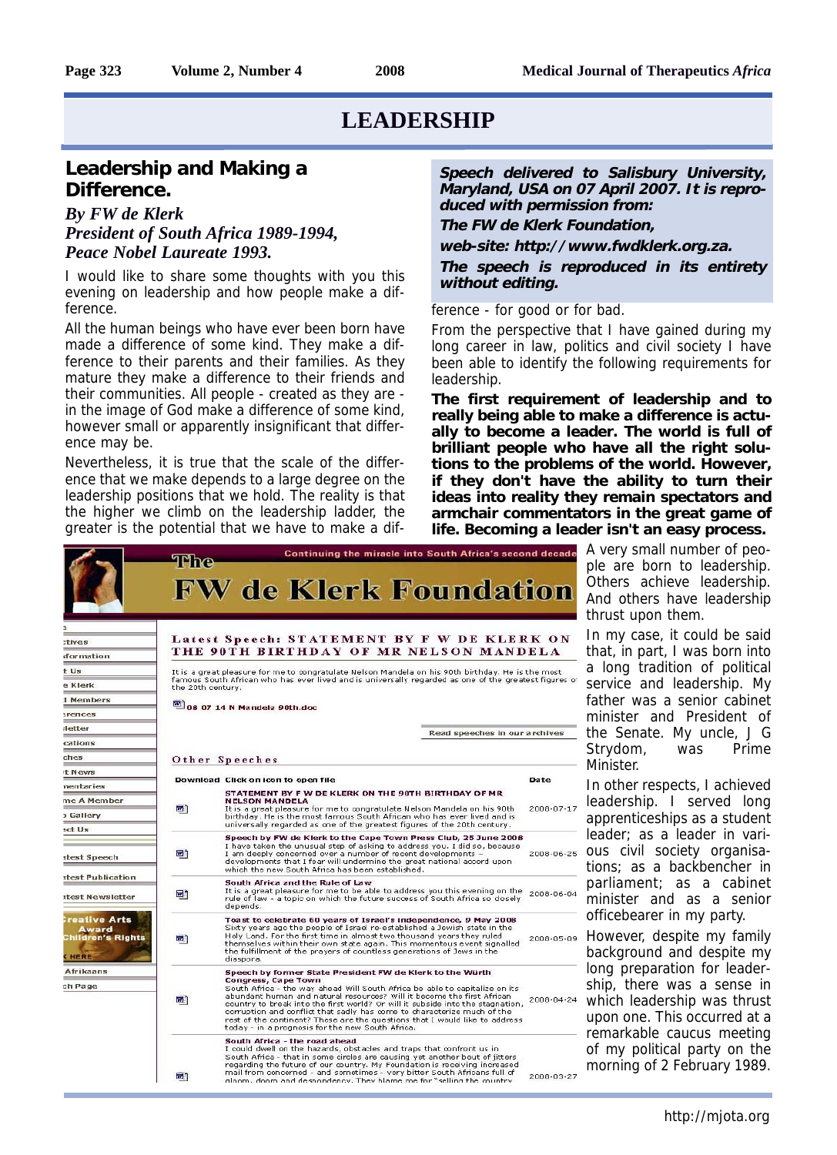#### **Leadership and Making a Difference.**

#### *By FW de Klerk President of South Africa 1989-1994, Peace Nobel Laureate 1993.*

I would like to share some thoughts with you this evening on leadership and how people make a difference.

All the human beings who have ever been born have made a difference of some kind. They make a difference to their parents and their families. As they mature they make a difference to their friends and their communities. All people - created as they are in the image of God make a difference of some kind, however small or apparently insignificant that difference may be.

Nevertheless, it is true that the scale of the difference that we make depends to a large degree on the leadership positions that we hold. The reality is that the higher we climb on the leadership ladder, the greater is the potential that we have to make a dif-

**Speech delivered to Salisbury University, Maryland, USA on 07 April 2007. It is reproduced with permission from:**

**The FW de Klerk Foundation,**

**web-site: http://www.fwdklerk.org.za.**

**The speech is reproduced in its entirety without editing.**

ference - for good or for bad.

From the perspective that I have gained during my long career in law, politics and civil society I have been able to identify the following requirements for leadership.

**The first requirement of leadership and to really being able to make a difference is actually to become a leader. The world is full of brilliant people who have all the right solutions to the problems of the world. However, if they don't have the ability to turn their ideas into reality they remain spectators and armchair commentators in the great game of life. Becoming a leader isn't an easy process.** 



A very small number of people are born to leadership. Others achieve leadership. And others have leadership thrust upon them.

In my case, it could be said that, in part, I was born into a long tradition of political service and leadership. My father was a senior cabinet minister and President of the Senate. My uncle, J G Strydom, was Prime Minister.

In other respects, I achieved leadership. I served long apprenticeships as a student leader; as a leader in vari-2008-06-25 OUS Civil society organisations; as a backbencher in parliament; as a cabinet minister and as a senior officebearer in my party.

> However, despite my family background and despite my long preparation for leadership, there was a sense in which leadership was thrust upon one. This occurred at a remarkable caucus meeting of my political party on the morning of 2 February 1989.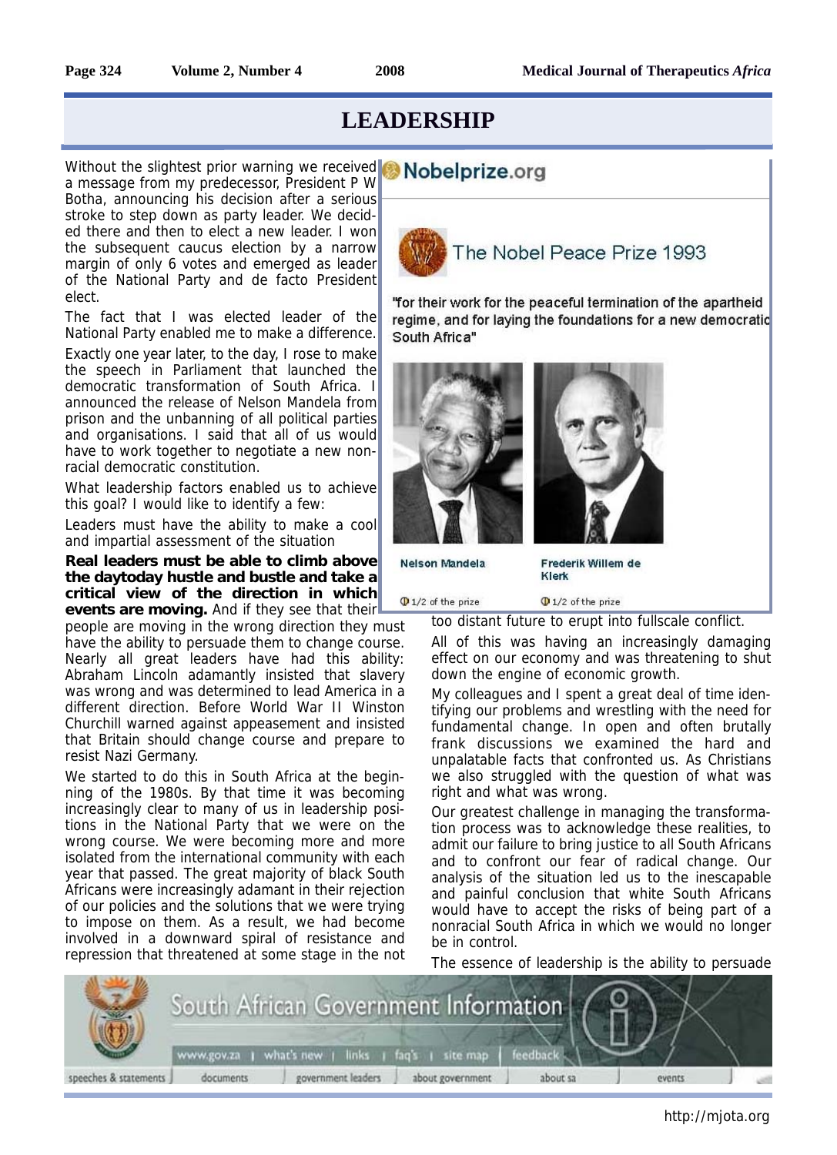# Without the slightest prior warning we received **Nobelprize.org**

a message from my predecessor, President P W Botha, announcing his decision after a serious stroke to step down as party leader. We decided there and then to elect a new leader. I won the subsequent caucus election by a narrow margin of only 6 votes and emerged as leader of the National Party and de facto President elect.

The fact that I was elected leader of the National Party enabled me to make a difference.

Exactly one year later, to the day, I rose to make the speech in Parliament that launched the democratic transformation of South Africa. I announced the release of Nelson Mandela from prison and the unbanning of all political parties and organisations. I said that all of us would have to work together to negotiate a new nonracial democratic constitution.

What leadership factors enabled us to achieve this goal? I would like to identify a few:

Leaders must have the ability to make a cool and impartial assessment of the situation

**Real leaders must be able to climb above the daytoday hustle and bustle and take a critical view of the direction in which**

**events are moving.** And if they see that their people are moving in the wrong direction they must have the ability to persuade them to change course. Nearly all great leaders have had this ability: Abraham Lincoln adamantly insisted that slavery was wrong and was determined to lead America in a different direction. Before World War II Winston Churchill warned against appeasement and insisted that Britain should change course and prepare to resist Nazi Germany.

We started to do this in South Africa at the beginning of the 1980s. By that time it was becoming increasingly clear to many of us in leadership positions in the National Party that we were on the wrong course. We were becoming more and more isolated from the international community with each year that passed. The great majority of black South Africans were increasingly adamant in their rejection of our policies and the solutions that we were trying to impose on them. As a result, we had become involved in a downward spiral of resistance and repression that threatened at some stage in the not



"for their work for the peaceful termination of the apartheid regime, and for laying the foundations for a new democratic South Africa"



Nelson Mandela

Frederik Willem de Klerk

 $\Phi$  1/2 of the prize

too distant future to erupt into fullscale conflict.

 $\Phi$  1/2 of the prize

All of this was having an increasingly damaging effect on our economy and was threatening to shut down the engine of economic growth.

My colleagues and I spent a great deal of time identifying our problems and wrestling with the need for fundamental change. In open and often brutally frank discussions we examined the hard and unpalatable facts that confronted us. As Christians we also struggled with the question of what was right and what was wrong.

Our greatest challenge in managing the transformation process was to acknowledge these realities, to admit our failure to bring justice to all South Africans and to confront our fear of radical change. Our analysis of the situation led us to the inescapable and painful conclusion that white South Africans would have to accept the risks of being part of a nonracial South Africa in which we would no longer be in control.

The essence of leadership is the ability to persuade

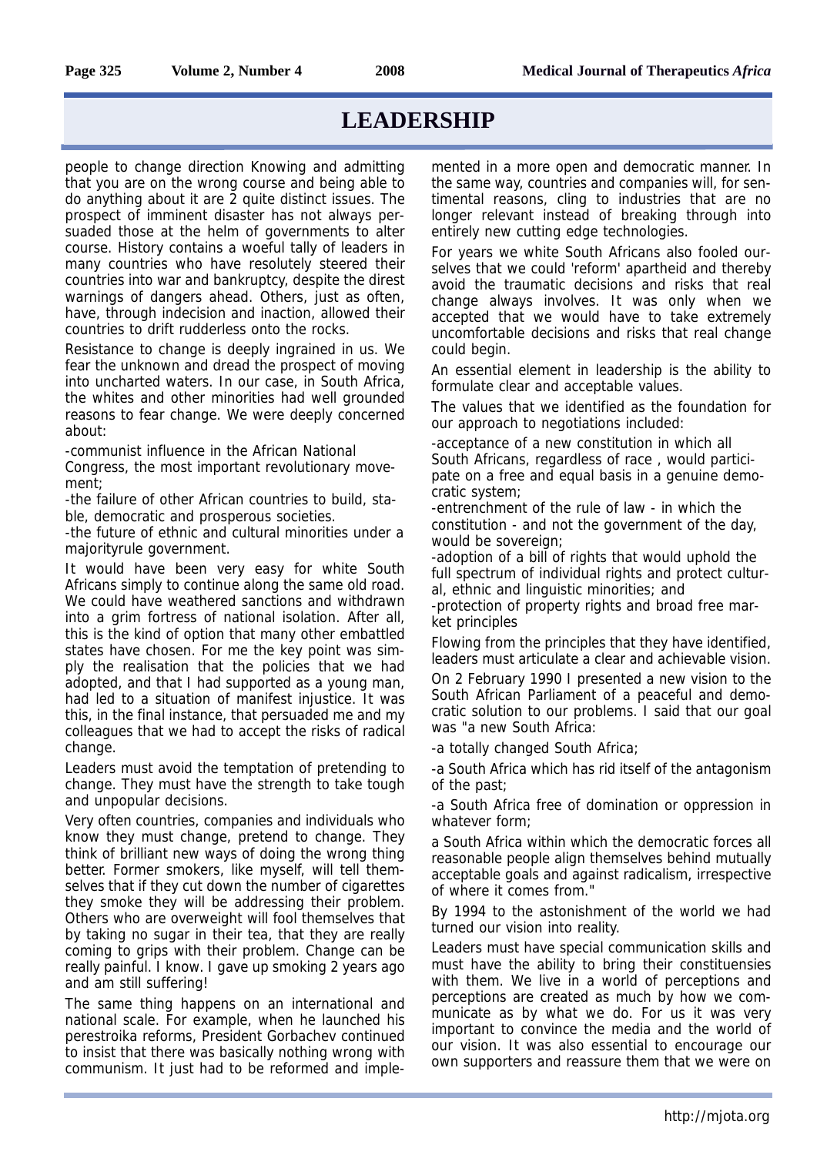people to change direction Knowing and admitting that you are on the wrong course and being able to do anything about it are 2 quite distinct issues. The prospect of imminent disaster has not always persuaded those at the helm of governments to alter course. History contains a woeful tally of leaders in many countries who have resolutely steered their countries into war and bankruptcy, despite the direst warnings of dangers ahead. Others, just as often, have, through indecision and inaction, allowed their countries to drift rudderless onto the rocks.

Resistance to change is deeply ingrained in us. We fear the unknown and dread the prospect of moving into uncharted waters. In our case, in South Africa, the whites and other minorities had well grounded reasons to fear change. We were deeply concerned about:

-communist influence in the African National Congress, the most important revolutionary movement;

-the failure of other African countries to build, stable, democratic and prosperous societies.

-the future of ethnic and cultural minorities under a majorityrule government.

It would have been very easy for white South Africans simply to continue along the same old road. We could have weathered sanctions and withdrawn into a grim fortress of national isolation. After all, this is the kind of option that many other embattled states have chosen. For me the key point was simply the realisation that the policies that we had adopted, and that I had supported as a young man, had led to a situation of manifest injustice. It was this, in the final instance, that persuaded me and my colleagues that we had to accept the risks of radical change.

Leaders must avoid the temptation of pretending to change. They must have the strength to take tough and unpopular decisions.

Very often countries, companies and individuals who know they must change, pretend to change. They think of brilliant new ways of doing the wrong thing better. Former smokers, like myself, will tell themselves that if they cut down the number of cigarettes they smoke they will be addressing their problem. Others who are overweight will fool themselves that by taking no sugar in their tea, that they are really coming to grips with their problem. Change can be really painful. I know. I gave up smoking 2 years ago and am still suffering!

The same thing happens on an international and national scale. For example, when he launched his perestroika reforms, President Gorbachev continued to insist that there was basically nothing wrong with communism. It just had to be reformed and implemented in a more open and democratic manner. In the same way, countries and companies will, for sentimental reasons, cling to industries that are no longer relevant instead of breaking through into entirely new cutting edge technologies.

For years we white South Africans also fooled ourselves that we could 'reform' apartheid and thereby avoid the traumatic decisions and risks that real change always involves. It was only when we accepted that we would have to take extremely uncomfortable decisions and risks that real change could begin.

An essential element in leadership is the ability to formulate clear and acceptable values.

The values that we identified as the foundation for our approach to negotiations included:

-acceptance of a new constitution in which all South Africans, regardless of race , would participate on a free and equal basis in a genuine democratic system;

-entrenchment of the rule of law - in which the constitution - and not the government of the day, would be sovereign;

-adoption of a bill of rights that would uphold the full spectrum of individual rights and protect cultural, ethnic and linguistic minorities; and

-protection of property rights and broad free market principles

Flowing from the principles that they have identified, leaders must articulate a clear and achievable vision.

On 2 February 1990 I presented a new vision to the South African Parliament of a peaceful and democratic solution to our problems. I said that our goal was "a new South Africa:

-a totally changed South Africa;

-a South Africa which has rid itself of the antagonism of the past;

-a South Africa free of domination or oppression in whatever form;

a South Africa within which the democratic forces all reasonable people align themselves behind mutually acceptable goals and against radicalism, irrespective of where it comes from."

By 1994 to the astonishment of the world we had turned our vision into reality.

Leaders must have special communication skills and must have the ability to bring their constituensies with them. We live in a world of perceptions and perceptions are created as much by how we communicate as by what we do. For us it was very important to convince the media and the world of our vision. It was also essential to encourage our own supporters and reassure them that we were on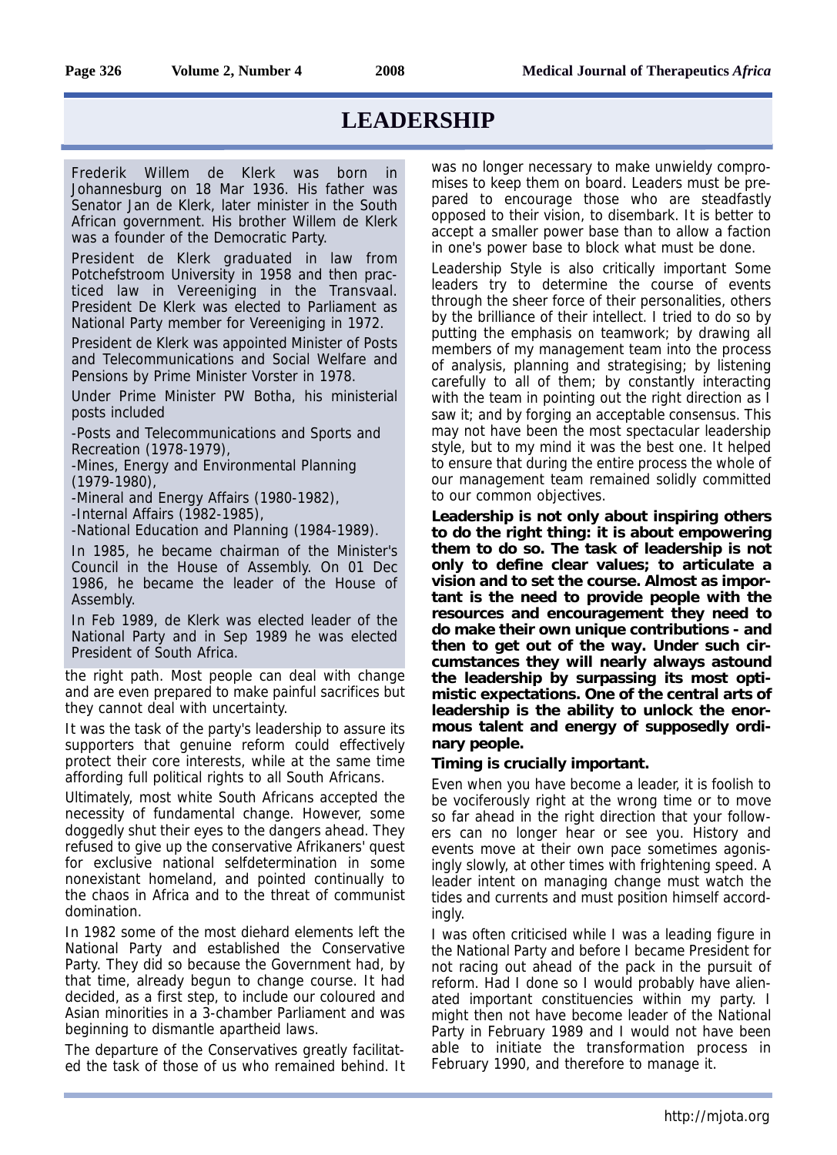Frederik Willem de Klerk was born in Johannesburg on 18 Mar 1936. His father was Senator Jan de Klerk, later minister in the South African government. His brother Willem de Klerk was a founder of the Democratic Party.

President de Klerk graduated in law from Potchefstroom University in 1958 and then practiced law in Vereeniging in the Transvaal. President De Klerk was elected to Parliament as National Party member for Vereeniging in 1972.

President de Klerk was appointed Minister of Posts and Telecommunications and Social Welfare and Pensions by Prime Minister Vorster in 1978.

Under Prime Minister PW Botha, his ministerial posts included

-Posts and Telecommunications and Sports and Recreation (1978-1979),

-Mines, Energy and Environmental Planning (1979-1980),

-Mineral and Energy Affairs (1980-1982), -Internal Affairs (1982-1985),

-National Education and Planning (1984-1989).

In 1985, he became chairman of the Minister's Council in the House of Assembly. On 01 Dec 1986, he became the leader of the House of Assembly.

In Feb 1989, de Klerk was elected leader of the National Party and in Sep 1989 he was elected President of South Africa.

the right path. Most people can deal with change and are even prepared to make painful sacrifices but they cannot deal with uncertainty.

It was the task of the party's leadership to assure its supporters that genuine reform could effectively protect their core interests, while at the same time affording full political rights to all South Africans.

Ultimately, most white South Africans accepted the necessity of fundamental change. However, some doggedly shut their eyes to the dangers ahead. They refused to give up the conservative Afrikaners' quest for exclusive national selfdetermination in some nonexistant homeland, and pointed continually to the chaos in Africa and to the threat of communist domination.

In 1982 some of the most diehard elements left the National Party and established the Conservative Party. They did so because the Government had, by that time, already begun to change course. It had decided, as a first step, to include our coloured and Asian minorities in a 3-chamber Parliament and was beginning to dismantle apartheid laws.

The departure of the Conservatives greatly facilitated the task of those of us who remained behind. It was no longer necessary to make unwieldy compromises to keep them on board. Leaders must be prepared to encourage those who are steadfastly opposed to their vision, to disembark. It is better to accept a smaller power base than to allow a faction in one's power base to block what must be done.

Leadership Style is also critically important Some leaders try to determine the course of events through the sheer force of their personalities, others by the brilliance of their intellect. I tried to do so by putting the emphasis on teamwork; by drawing all members of my management team into the process of analysis, planning and strategising; by listening carefully to all of them; by constantly interacting with the team in pointing out the right direction as I saw it; and by forging an acceptable consensus. This may not have been the most spectacular leadership style, but to my mind it was the best one. It helped to ensure that during the entire process the whole of our management team remained solidly committed to our common objectives.

**Leadership is not only about inspiring others to do the right thing: it is about empowering them to do so. The task of leadership is not only to define clear values; to articulate a vision and to set the course. Almost as important is the need to provide people with the resources and encouragement they need to do make their own unique contributions - and then to get out of the way. Under such circumstances they will nearly always astound the leadership by surpassing its most optimistic expectations. One of the central arts of leadership is the ability to unlock the enormous talent and energy of supposedly ordinary people.** 

#### **Timing is crucially important.**

Even when you have become a leader, it is foolish to be vociferously right at the wrong time or to move so far ahead in the right direction that your followers can no longer hear or see you. History and events move at their own pace sometimes agonisingly slowly, at other times with frightening speed. A leader intent on managing change must watch the tides and currents and must position himself accordingly.

I was often criticised while I was a leading figure in the National Party and before I became President for not racing out ahead of the pack in the pursuit of reform. Had I done so I would probably have alienated important constituencies within my party. I might then not have become leader of the National Party in February 1989 and I would not have been able to initiate the transformation process in February 1990, and therefore to manage it.